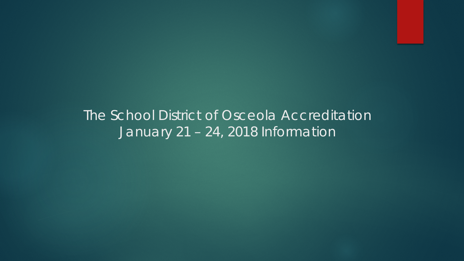### The School District of Osceola Accreditation January 21 – 24, 2018 Information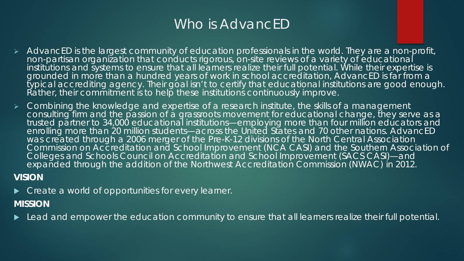### Who is AdvancED

- AdvancED is the largest community of education professionals in the world. They are a non-profit, non-partisan organization that conducts rigorous, on-site reviews of a variety of educational institutions and systems to ensure that all learners realize their full potential. While their expertise is grounded in more than a hundred years of work in school accreditation, AdvancED is far from a typical accrediting agency. Their goal isn't to certify that educational institutions are good enough. Rather, their commitment is to help these institutions continuously improve.
- Combining the knowledge and expertise of a research institute, the skills of a management consulting firm and the passion of a grassroots movement for educational change, they serve as a trusted partner to 34,000 educational institutions—employing more than four million educators and enrolling more than 20 million students—across the United States and 70 other nations. AdvancED was created through a 2006 merger of the Pre-K-12 divisions of the North Central Association Commission on Accreditation and School Improvement (NCA CASI) and the Southern Association of Colleges and Schools Council on Accreditation and School Improvement (SACS CASI)—and expanded through the addition of the Northwest Accreditation Commission (NWAC) in 2012.

#### **VISION**

**Create a world of opportunities for every learner.** 

#### **MISSION**

Lead and empower the education community to ensure that all learners realize their full potential.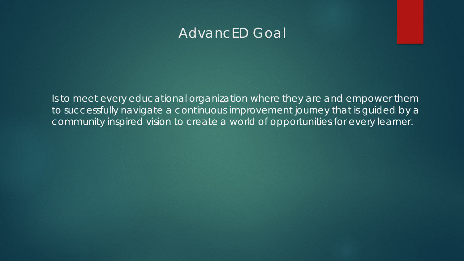#### AdvancED Goal

Is to meet every educational organization where they are and empower them to successfully navigate a continuous improvement journey that is guided by a community inspired vision to create a world of opportunities for every learner.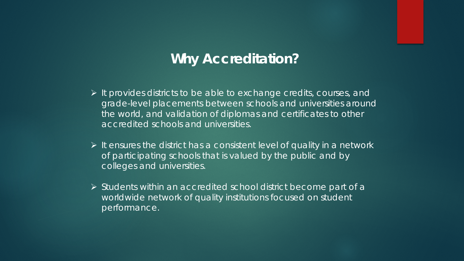#### **Why Accreditation?**

- $\triangleright$  It provides districts to be able to exchange credits, courses, and grade-level placements between schools and universities around the world, and validation of diplomas and certificates to other accredited schools and universities.
- $\triangleright$  It ensures the district has a consistent level of quality in a network of participating schools that is valued by the public and by colleges and universities.
- $\triangleright$  Students within an accredited school district become part of a worldwide network of quality institutions focused on student performance.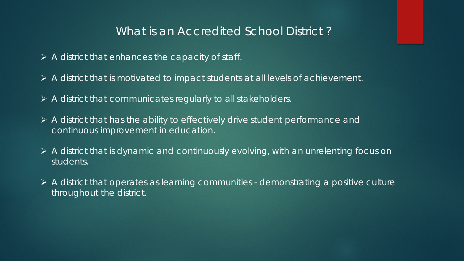#### What is an Accredited School District ?

- $\triangleright$  A district that enhances the capacity of staff.
- A district that is motivated to impact students at all levels of achievement.
- $\triangleright$  A district that communicates regularly to all stakeholders.
- $\triangleright$  A district that has the ability to effectively drive student performance and continuous improvement in education.
- A district that is dynamic and continuously evolving, with an unrelenting focus on students.
- $\triangleright$  A district that operates as learning communities demonstrating a positive culture throughout the district.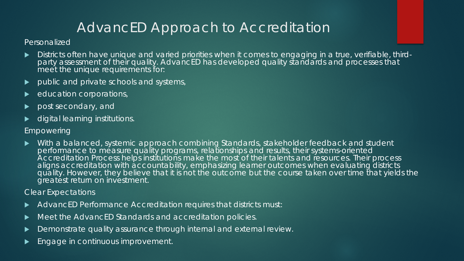# AdvancED Approach to Accreditation

#### Personalized

- Districts often have unique and varied priorities when it comes to engaging in a true, verifiable, third-<br>party assessment of their quality. AdvancED has developed quality standards and processes that meet the unique requirements for:
- public and private schools and systems,
- education corporations,
- post secondary, and
- digital learning institutions.

#### Empowering

 With a balanced, systemic approach combining Standards, stakeholder feedback and student performance to measure quality programs, relationships and results, their systems-oriented Accreditation Process helps institutions make the most of their talents and resources. Their process aligns accreditation with accountability, emphasizing learner outcomes when evaluating districts quality. However, they believe that it is not the outcome but the course taken over time that yields the greatest return on investment.

#### Clear Expectations

- AdvancED Performance Accreditation requires that districts must:
- Meet the AdvancED Standards and accreditation policies.
- Demonstrate quality assurance through internal and external review.
- Engage in continuous improvement.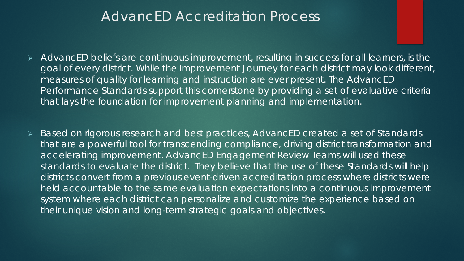#### AdvancED Accreditation Process

- AdvancED beliefs are continuous improvement, resulting in success for all learners, is the goal of every district. While the *Improvement Journey* for each district may look different, measures of quality for learning and instruction are ever present. The *AdvancED Performance Standards* support this cornerstone by providing a set of evaluative criteria that lays the foundation for improvement planning and implementation.
- Based on rigorous research and best practices, AdvancED created a set of Standards that are a powerful tool for transcending compliance, driving district transformation and accelerating improvement. AdvancED Engagement Review Teams will used these standards to evaluate the district. They believe that the use of these Standards will help districts convert from a previous event-driven accreditation process where districts were held accountable to the same evaluation expectations into a continuous improvement system where each district can personalize and customize the experience based on their unique vision and long-term strategic goals and objectives.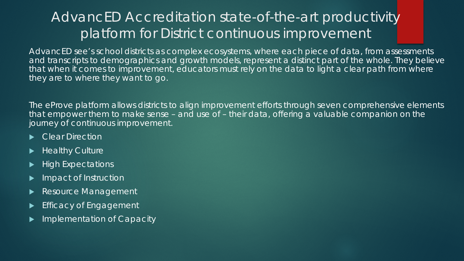# AdvancED Accreditation state-of-the-art productivity platform for District continuous improvement

AdvancED see's school districts as complex ecosystems, where each piece of data, from assessments and transcripts to demographics and growth models, represent a distinct part of the whole. They believe that when it comes to improvement, educators must rely on the data to light a clear path from where they are to where they want to go.

The eProve platform allows districts to align improvement efforts through seven comprehensive elements that empower them to make sense – and use of – their data, offering a valuable companion on the journey of continuous improvement.

- Clear Direction
- Healthy Culture
- High Expectations
- Impact of Instruction
- Resource Management
- Efficacy of Engagement
- Implementation of Capacity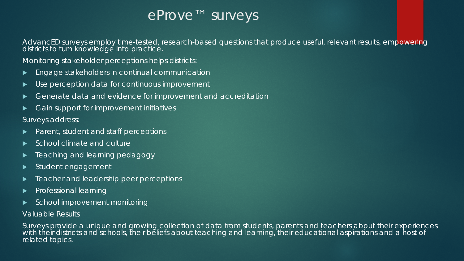### eProve™ surveys

AdvancED surveys employ time-tested, research-based questions that produce useful, relevant results, empowering districts to turn knowledge into practice.

Monitoring stakeholder perceptions helps districts:

- Engage stakeholders in continual communication
- ▶ Use perception data for continuous improvement
- Generate data and evidence for improvement and accreditation
- Gain support for improvement initiatives

Surveys address:

- Parent, student and staff perceptions
- School climate and culture
- Teaching and learning pedagogy
- Student engagement
- Teacher and leadership peer perceptions
- Professional learning
- School improvement monitoring

#### Valuable Results

Surveys provide a unique and growing collection of data from students, parents and teachers about their experiences with their districts and schools, their beliefs about teaching and learning, their educational aspirations and a host of related topics.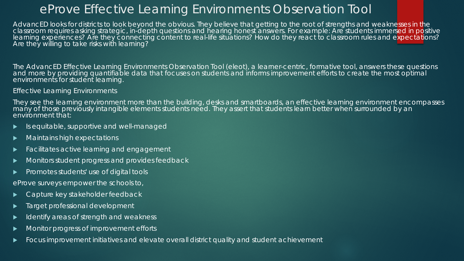#### eProve Effective Learning Environments Observation Tool

AdvancED looks for districts to look beyond the obvious. They believe that getting to the root of strengths and weaknesses in the classroom requires asking strategic, in-depth questions and hearing honest answers. For example: Are students immersed in positive learning experiences? Are they connecting content to real-life situations? How do they react to classroom rules and expectations? Are they willing to take risks with learning?

The AdvancED Effective Learning Environments Observation Tool (eleot), a learner-centric, formative tool, answers these questions and more by providing quantifiable data that focuses on students and informs improvement efforts to create the most optimal environments for student learning.

Effective Learning Environments

They see the learning environment more than the building, desks and smartboards, an effective learning environment encompasses many of those previously intangible elements students need. They assert that students learn better when surrounded by an environment that:

- $\blacktriangleright$  Is equitable, supportive and well-managed
- Maintains high expectations
- Facilitates active learning and engagement
- Monitors student progress and provides feedback
- Promotes students' use of digital tools

eProve surveys empower the schools to,

- Capture key stakeholder feedback
- Target professional development
- $\blacktriangleright$  Identify areas of strength and weakness
- Monitor progress of improvement efforts
- Focus improvement initiatives and elevate overall district quality and student achievement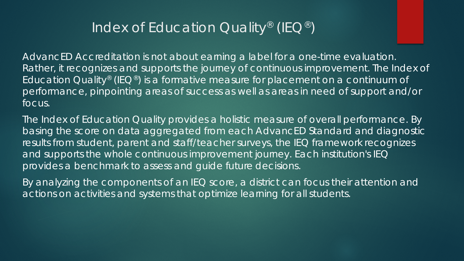### Index of Education Quality<sup>®</sup> (IEQ<sup>®</sup>)

AdvancED Accreditation is not about earning a label for a one-time evaluation. Rather, it recognizes and supports the journey of continuous improvement. The Index of Education Quality<sup>®</sup> (IEQ<sup>®</sup>) is a formative measure for placement on a continuum of performance, pinpointing areas of success as well as areas in need of support and/or focus.

The Index of Education Quality provides a holistic measure of overall performance. By basing the score on data aggregated from each AdvancED Standard and diagnostic results from student, parent and staff/teacher surveys, the IEQ framework recognizes and supports the whole continuous improvement journey. Each institution's IEQ provides a benchmark to assess and guide future decisions.

By analyzing the components of an IEQ score, a district can focus their attention and actions on activities and systems that optimize learning for all students.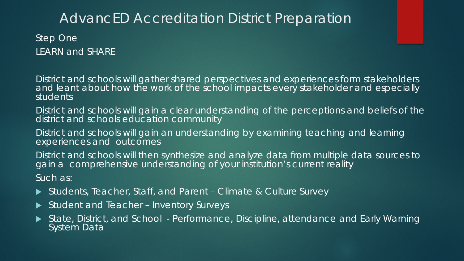#### AdvancED Accreditation District Preparation

Step One LEARN and SHARE

District and schools will gather shared perspectives and experiences form stakeholders and leant about how the work of the school impacts every stakeholder and especially students

District and schools will gain a clear understanding of the perceptions and beliefs of the district and schools education community

District and schools will gain an understanding by examining teaching and learning experiences and outcomes

District and schools will then synthesize and analyze data from multiple data sources to gain a comprehensive understanding of your institution's current reality

Such as:

- ▶ Students, Teacher, Staff, and Parent Climate & Culture Survey
- ▶ Student and Teacher Inventory Surveys
- State, District, and School Performance, Discipline, attendance and Early Warning **System Data**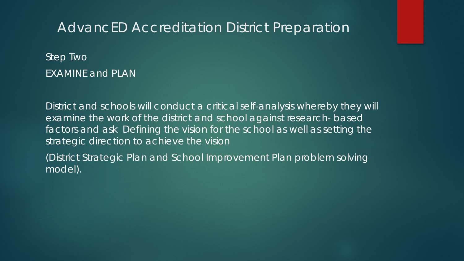#### AdvancED Accreditation District Preparation

Step Two EXAMINE and PLAN

District and schools will conduct a critical self-analysis whereby they will examine the work of the district and school against research‐ based factors and ask Defining the vision for the school as well as setting the strategic direction to achieve the vision

(District Strategic Plan and School Improvement Plan problem solving model).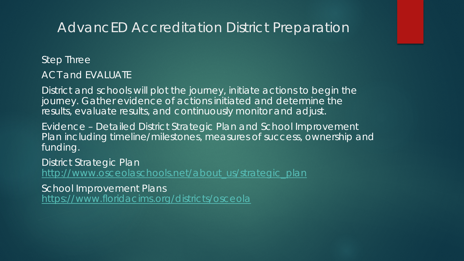### AdvancED Accreditation District Preparation

Step Three

ACT and EVALUATE

District and schools will plot the journey, initiate actions to begin the journey. Gather evidence of actions initiated and determine the results, evaluate results, and continuously monitor and adjust.

Evidence – Detailed District Strategic Plan and School Improvement Plan including timeline/milestones, measures of success, ownership and funding.

District Strategic Plan

[http://www.osceolaschools.net/about\\_us/strategic\\_plan](http://www.osceolaschools.net/about_us/strategic_plan)

School Improvement Plans

<https://www.floridacims.org/districts/osceola>